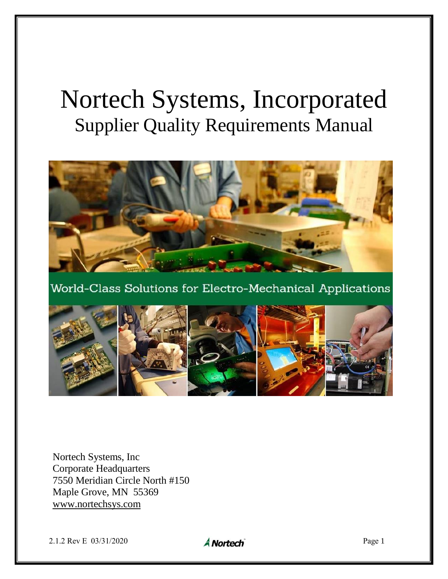# Nortech Systems, Incorporated Supplier Quality Requirements Manual



World-Class Solutions for Electro-Mechanical Applications



Nortech Systems, Inc Corporate Headquarters 7550 Meridian Circle North #150 Maple Grove, MN 55369 [www.nortechsys.com](http://www.nortechsys.com/)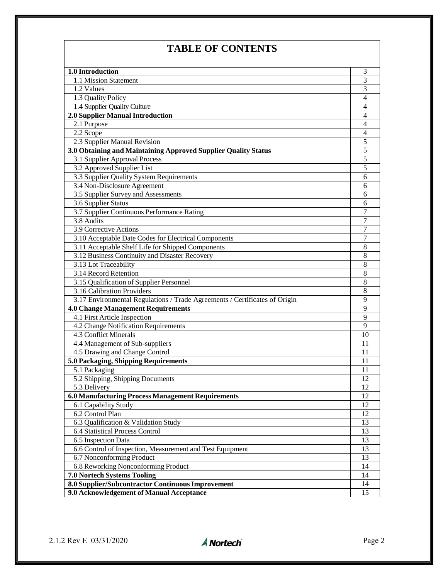# **TABLE OF CONTENTS**

| 1.0 Introduction                                                           | 3              |
|----------------------------------------------------------------------------|----------------|
| 1.1 Mission Statement                                                      | 3              |
| 1.2 Values                                                                 | 3              |
| 1.3 Quality Policy                                                         | $\overline{4}$ |
| 1.4 Supplier Quality Culture                                               | $\overline{4}$ |
| 2.0 Supplier Manual Introduction                                           | $\overline{4}$ |
| 2.1 Purpose                                                                | $\overline{4}$ |
| 2.2 Scope                                                                  | $\overline{4}$ |
| 2.3 Supplier Manual Revision                                               | $\overline{5}$ |
| 3.0 Obtaining and Maintaining Approved Supplier Quality Status             | $\overline{5}$ |
| 3.1 Supplier Approval Process                                              | $\overline{5}$ |
| 3.2 Approved Supplier List                                                 | 5              |
| 3.3 Supplier Quality System Requirements                                   | 6              |
| 3.4 Non-Disclosure Agreement                                               | 6              |
| 3.5 Supplier Survey and Assessments                                        | 6              |
| 3.6 Supplier Status                                                        | 6              |
| 3.7 Supplier Continuous Performance Rating                                 | 7              |
| 3.8 Audits                                                                 | 7              |
| 3.9 Corrective Actions                                                     | 7              |
| 3.10 Acceptable Date Codes for Electrical Components                       | 7              |
| 3.11 Acceptable Shelf Life for Shipped Components                          | 8              |
| 3.12 Business Continuity and Disaster Recovery                             | 8              |
| 3.13 Lot Traceability                                                      | 8              |
| 3.14 Record Retention                                                      | 8              |
| 3.15 Qualification of Supplier Personnel                                   | 8              |
| 3.16 Calibration Providers                                                 | 8              |
| 3.17 Environmental Regulations / Trade Agreements / Certificates of Origin | 9              |
| <b>4.0 Change Management Requirements</b>                                  | 9              |
| 4.1 First Article Inspection                                               | 9              |
| 4.2 Change Notification Requirements                                       | 9              |
| 4.3 Conflict Minerals                                                      | 10             |
| 4.4 Management of Sub-suppliers                                            | 11             |
| 4.5 Drawing and Change Control                                             | 11             |
| 5.0 Packaging, Shipping Requirements                                       | 11             |
| 5.1 Packaging                                                              | 11             |
| 5.2 Shipping, Shipping Documents                                           | 12             |
| 5.3 Delivery                                                               | 12             |
| 6.0 Manufacturing Process Management Requirements                          | 12             |
| 6.1 Capability Study                                                       | 12             |
| 6.2 Control Plan                                                           | 12             |
| 6.3 Qualification & Validation Study                                       | 13             |
| 6.4 Statistical Process Control                                            | 13             |
| 6.5 Inspection Data                                                        | 13             |
| 6.6 Control of Inspection, Measurement and Test Equipment                  | 13             |
| 6.7 Nonconforming Product                                                  | 13             |
| 6.8 Reworking Nonconforming Product                                        | 14             |
| <b>7.0 Nortech Systems Tooling</b>                                         | 14             |
| 8.0 Supplier/Subcontractor Continuous Improvement                          |                |
| 9.0 Acknowledgement of Manual Acceptance                                   | 14<br>15       |
|                                                                            |                |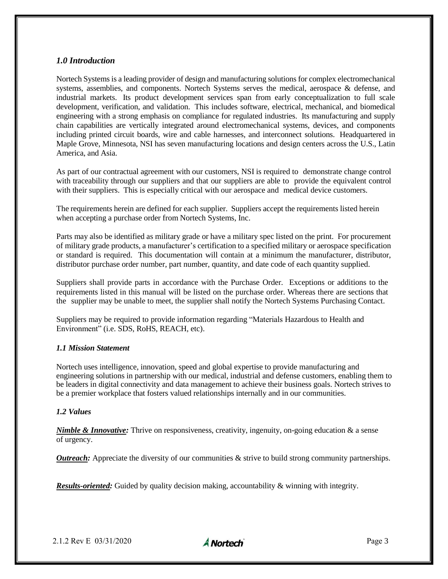# *1.0 Introduction*

Nortech Systems is a leading provider of design and manufacturing solutions for complex electromechanical systems, assemblies, and components. Nortech Systems serves the medical, aerospace & defense, and industrial markets. Its product development services span from early conceptualization to full scale development, verification, and validation. This includes software, electrical, mechanical, and biomedical engineering with a strong emphasis on compliance for regulated industries. Its manufacturing and supply chain capabilities are vertically integrated around electromechanical systems, devices, and components including printed circuit boards, wire and cable harnesses, and interconnect solutions. Headquartered in Maple Grove, Minnesota, NSI has seven manufacturing locations and design centers across the U.S., Latin America, and Asia.

As part of our contractual agreement with our customers, NSI is required to demonstrate change control with traceability through our suppliers and that our suppliers are able to provide the equivalent control with their suppliers. This is especially critical with our aerospace and medical device customers.

The requirements herein are defined for each supplier. Suppliers accept the requirements listed herein when accepting a purchase order from Nortech Systems, Inc.

Parts may also be identified as military grade or have a military spec listed on the print. For procurement of military grade products, a manufacturer's certification to a specified military or aerospace specification or standard is required. This documentation will contain at a minimum the manufacturer, distributor, distributor purchase order number, part number, quantity, and date code of each quantity supplied.

Suppliers shall provide parts in accordance with the Purchase Order. Exceptions or additions to the requirements listed in this manual will be listed on the purchase order. Whereas there are sections that the supplier may be unable to meet, the supplier shall notify the Nortech Systems Purchasing Contact.

Suppliers may be required to provide information regarding "Materials Hazardous to Health and Environment" (i.e. SDS, RoHS, REACH, etc).

#### *1.1 Mission Statement*

Nortech uses intelligence, innovation, speed and global expertise to provide manufacturing and engineering solutions in partnership with our medical, industrial and defense customers, enabling them to be leaders in digital connectivity and data management to achieve their business goals. Nortech strives to be a premier workplace that fosters valued relationships internally and in our communities.

#### *1.2 Values*

*Nimble & Innovative:* Thrive on responsiveness, creativity, ingenuity, on-going education & a sense of urgency.

*Outreach:* Appreciate the diversity of our communities & strive to build strong community partnerships.

*Results-oriented:* Guided by quality decision making, accountability & winning with integrity.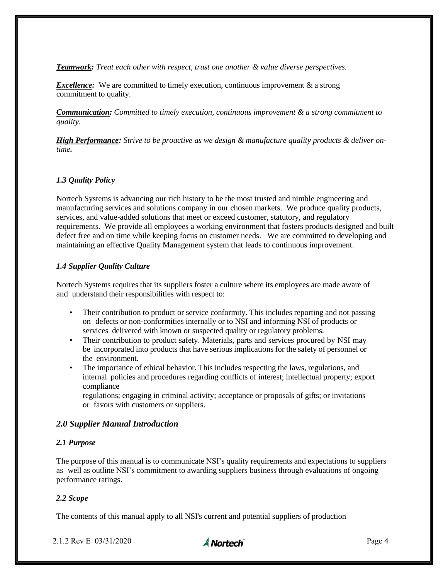*Teamwork: Treat each other with respect, trust one another & value diverse perspectives.*

*Excellence:* We are committed to timely execution, continuous improvement & a strong commitment to quality.

*Communication: Committed to timely execution, continuous improvement & a strong commitment to quality.*

*High Performance: Strive to be proactive as we design & manufacture quality products & deliver ontime.*

# *1.3 Quality Policy*

Nortech Systems is advancing our rich history to be the most trusted and nimble engineering and manufacturing services and solutions company in our chosen markets. We produce quality products, services, and value-added solutions that meet or exceed customer, statutory, and regulatory requirements. We provide all employees a working environment that fosters products designed and built defect free and on time while keeping focus on customer needs. We are committed to developing and maintaining an effective Quality Management system that leads to continuous improvement.

# *1.4 Supplier Quality Culture*

Nortech Systems requires that its suppliers foster a culture where its employees are made aware of and understand their responsibilities with respect to:

- Their contribution to product or service conformity. This includes reporting and not passing on defects or non-conformities internally or to NSI and informing NSI of products or services delivered with known or suspected quality or regulatory problems.
- Their contribution to product safety. Materials, parts and services procured by NSI may be incorporated into products that have serious implications for the safety of personnel or the environment.
- The importance of ethical behavior. This includes respecting the laws, regulations, and internal policies and procedures regarding conflicts of interest; intellectual property; export compliance

regulations; engaging in criminal activity; acceptance or proposals of gifts; or invitations or favors with customers or suppliers.

# *2.0 Supplier Manual Introduction*

#### *2.1 Purpose*

The purpose of this manual is to communicate NSI's quality requirements and expectations to suppliers as well as outline NSI's commitment to awarding suppliers business through evaluations of ongoing performance ratings.

#### *2.2 Scope*

The contents of this manual apply to all NSI's current and potential suppliers of production

2.1.2 Rev E 03/31/2020 **A Nortech** Page 4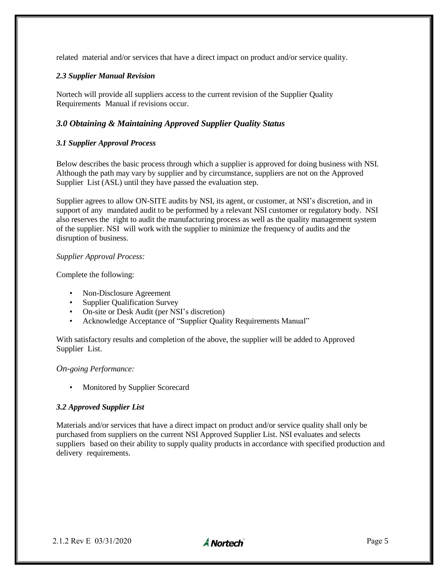related material and/or services that have a direct impact on product and/or service quality.

# *2.3 Supplier Manual Revision*

Nortech will provide all suppliers access to the current revision of the Supplier Quality Requirements Manual if revisions occur.

# *3.0 Obtaining & Maintaining Approved Supplier Quality Status*

# *3.1 Supplier Approval Process*

Below describes the basic process through which a supplier is approved for doing business with NSI. Although the path may vary by supplier and by circumstance, suppliers are not on the Approved Supplier List (ASL) until they have passed the evaluation step.

Supplier agrees to allow ON-SITE audits by NSI, its agent, or customer, at NSI's discretion, and in support of any mandated audit to be performed by a relevant NSI customer or regulatory body. NSI also reserves the right to audit the manufacturing process as well as the quality management system of the supplier. NSI will work with the supplier to minimize the frequency of audits and the disruption of business.

#### *Supplier Approval Process:*

Complete the following:

- Non-Disclosure Agreement
- Supplier Qualification Survey
- On-site or Desk Audit (per NSI's discretion)
- Acknowledge Acceptance of "Supplier Quality Requirements Manual"

With satisfactory results and completion of the above, the supplier will be added to Approved Supplier List.

# *On-going Performance:*

• Monitored by Supplier Scorecard

# *3.2 Approved Supplier List*

Materials and/or services that have a direct impact on product and/or service quality shall only be purchased from suppliers on the current NSI Approved Supplier List. NSI evaluates and selects suppliers based on their ability to supply quality products in accordance with specified production and delivery requirements.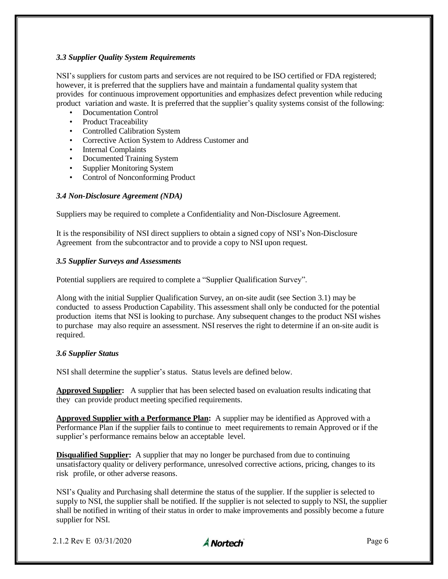# *3.3 Supplier Quality System Requirements*

NSI's suppliers for custom parts and services are not required to be ISO certified or FDA registered; however, it is preferred that the suppliers have and maintain a fundamental quality system that provides for continuous improvement opportunities and emphasizes defect prevention while reducing product variation and waste. It is preferred that the supplier's quality systems consist of the following:

- Documentation Control
- Product Traceability
- Controlled Calibration System
- Corrective Action System to Address Customer and
- Internal Complaints
- Documented Training System
- Supplier Monitoring System
- Control of Nonconforming Product

#### *3.4 Non-Disclosure Agreement (NDA)*

Suppliers may be required to complete a Confidentiality and Non-Disclosure Agreement.

It is the responsibility of NSI direct suppliers to obtain a signed copy of NSI's Non-Disclosure Agreement from the subcontractor and to provide a copy to NSI upon request.

#### *3.5 Supplier Surveys and Assessments*

Potential suppliers are required to complete a "Supplier Qualification Survey".

Along with the initial Supplier Qualification Survey, an on-site audit (see Section 3.1) may be conducted to assess Production Capability. This assessment shall only be conducted for the potential production items that NSI is looking to purchase. Any subsequent changes to the product NSI wishes to purchase may also require an assessment. NSI reserves the right to determine if an on-site audit is required.

#### *3.6 Supplier Status*

NSI shall determine the supplier's status. Status levels are defined below.

**Approved Supplier:** A supplier that has been selected based on evaluation results indicating that they can provide product meeting specified requirements.

**Approved Supplier with a Performance Plan:** A supplier may be identified as Approved with a Performance Plan if the supplier fails to continue to meet requirements to remain Approved or if the supplier's performance remains below an acceptable level.

**Disqualified Supplier:** A supplier that may no longer be purchased from due to continuing unsatisfactory quality or delivery performance, unresolved corrective actions, pricing, changes to its risk profile, or other adverse reasons.

NSI's Quality and Purchasing shall determine the status of the supplier. If the supplier is selected to supply to NSI, the supplier shall be notified. If the supplier is not selected to supply to NSI, the supplier shall be notified in writing of their status in order to make improvements and possibly become a future supplier for NSI.

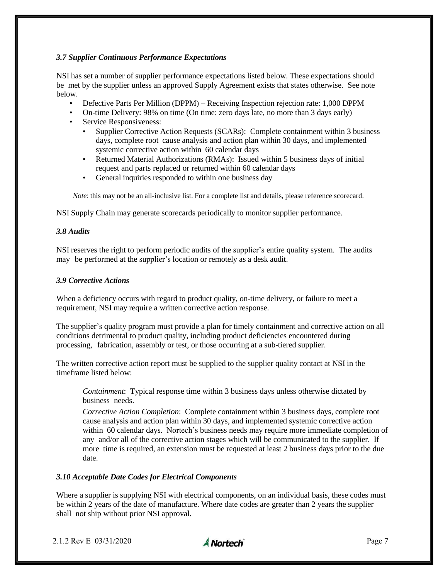# *3.7 Supplier Continuous Performance Expectations*

NSI has set a number of supplier performance expectations listed below. These expectations should be met by the supplier unless an approved Supply Agreement exists that states otherwise. See note below.

- Defective Parts Per Million (DPPM) Receiving Inspection rejection rate: 1,000 DPPM
- On-time Delivery: 98% on time (On time: zero days late, no more than 3 days early)
- Service Responsiveness:
	- Supplier Corrective Action Requests (SCARs): Complete containment within 3 business days, complete root cause analysis and action plan within 30 days, and implemented systemic corrective action within 60 calendar days
	- Returned Material Authorizations (RMAs): Issued within 5 business days of initial request and parts replaced or returned within 60 calendar days
	- General inquiries responded to within one business day

*Note*: this may not be an all-inclusive list. For a complete list and details, please reference scorecard.

NSI Supply Chain may generate scorecards periodically to monitor supplier performance.

#### *3.8 Audits*

NSI reserves the right to perform periodic audits of the supplier's entire quality system. The audits may be performed at the supplier's location or remotely as a desk audit.

#### *3.9 Corrective Actions*

When a deficiency occurs with regard to product quality, on-time delivery, or failure to meet a requirement, NSI may require a written corrective action response.

The supplier's quality program must provide a plan for timely containment and corrective action on all conditions detrimental to product quality, including product deficiencies encountered during processing, fabrication, assembly or test, or those occurring at a sub-tiered supplier.

The written corrective action report must be supplied to the supplier quality contact at NSI in the timeframe listed below:

*Containment*: Typical response time within 3 business days unless otherwise dictated by business needs.

*Corrective Action Completion*: Complete containment within 3 business days, complete root cause analysis and action plan within 30 days, and implemented systemic corrective action within 60 calendar days. Nortech's business needs may require more immediate completion of any and/or all of the corrective action stages which will be communicated to the supplier. If more time is required, an extension must be requested at least 2 business days prior to the due date.

#### *3.10 Acceptable Date Codes for Electrical Components*

Where a supplier is supplying NSI with electrical components, on an individual basis, these codes must be within 2 years of the date of manufacture. Where date codes are greater than 2 years the supplier shall not ship without prior NSI approval.

2.1.2 Rev E  $03/31/2020$  Page 7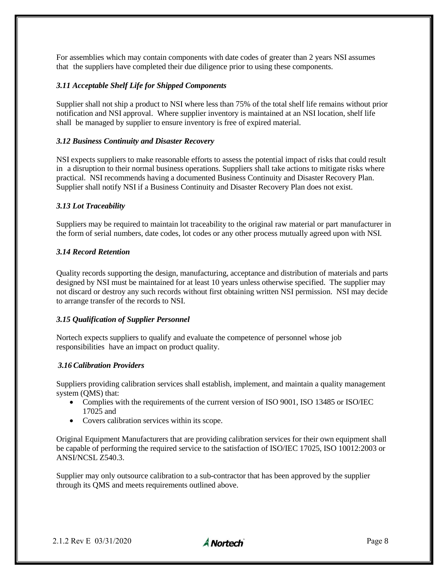For assemblies which may contain components with date codes of greater than 2 years NSI assumes that the suppliers have completed their due diligence prior to using these components.

# *3.11 Acceptable Shelf Life for Shipped Components*

Supplier shall not ship a product to NSI where less than 75% of the total shelf life remains without prior notification and NSI approval. Where supplier inventory is maintained at an NSI location, shelf life shall be managed by supplier to ensure inventory is free of expired material.

# *3.12 Business Continuity and Disaster Recovery*

NSI expects suppliers to make reasonable efforts to assess the potential impact of risks that could result in a disruption to their normal business operations. Suppliers shall take actions to mitigate risks where practical. NSI recommends having a documented Business Continuity and Disaster Recovery Plan. Supplier shall notify NSI if a Business Continuity and Disaster Recovery Plan does not exist.

# *3.13 Lot Traceability*

Suppliers may be required to maintain lot traceability to the original raw material or part manufacturer in the form of serial numbers, date codes, lot codes or any other process mutually agreed upon with NSI.

#### *3.14 Record Retention*

Quality records supporting the design, manufacturing, acceptance and distribution of materials and parts designed by NSI must be maintained for at least 10 years unless otherwise specified. The supplier may not discard or destroy any such records without first obtaining written NSI permission. NSI may decide to arrange transfer of the records to NSI.

#### *3.15 Qualification of Supplier Personnel*

Nortech expects suppliers to qualify and evaluate the competence of personnel whose job responsibilities have an impact on product quality.

#### *3.16Calibration Providers*

Suppliers providing calibration services shall establish, implement, and maintain a quality management system (QMS) that:

- Complies with the requirements of the current version of ISO 9001, ISO 13485 or ISO/IEC 17025 and
- Covers calibration services within its scope.

Original Equipment Manufacturers that are providing calibration services for their own equipment shall be capable of performing the required service to the satisfaction of ISO/IEC 17025, ISO 10012:2003 or ANSI/NCSL Z540.3.

Supplier may only outsource calibration to a sub-contractor that has been approved by the supplier through its QMS and meets requirements outlined above.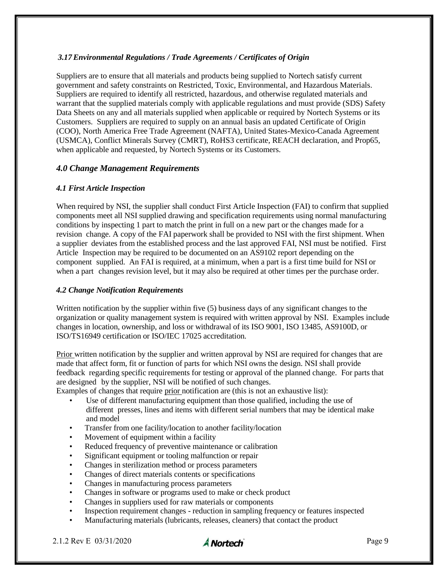# *3.17Environmental Regulations / Trade Agreements / Certificates of Origin*

Suppliers are to ensure that all materials and products being supplied to Nortech satisfy current government and safety constraints on Restricted, Toxic, Environmental, and Hazardous Materials. Suppliers are required to identify all restricted, hazardous, and otherwise regulated materials and warrant that the supplied materials comply with applicable regulations and must provide (SDS) Safety Data Sheets on any and all materials supplied when applicable or required by Nortech Systems or its Customers. Suppliers are required to supply on an annual basis an updated Certificate of Origin (COO), North America Free Trade Agreement (NAFTA), United States-Mexico-Canada Agreement (USMCA), Conflict Minerals Survey (CMRT), RoHS3 certificate, REACH declaration, and Prop65, when applicable and requested, by Nortech Systems or its Customers.

# *4.0 Change Management Requirements*

# *4.1 First Article Inspection*

When required by NSI, the supplier shall conduct First Article Inspection (FAI) to confirm that supplied components meet all NSI supplied drawing and specification requirements using normal manufacturing conditions by inspecting 1 part to match the print in full on a new part or the changes made for a revision change. A copy of the FAI paperwork shall be provided to NSI with the first shipment. When a supplier deviates from the established process and the last approved FAI, NSI must be notified. First Article Inspection may be required to be documented on an AS9102 report depending on the component supplied. An FAI is required, at a minimum, when a part is a first time build for NSI or when a part changes revision level, but it may also be required at other times per the purchase order.

# *4.2 Change Notification Requirements*

Written notification by the supplier within five (5) business days of any significant changes to the organization or quality management system is required with written approval by NSI. Examples include changes in location, ownership, and loss or withdrawal of its ISO 9001, ISO 13485, AS9100D, or ISO/TS16949 certification or ISO/IEC 17025 accreditation.

Prior written notification by the supplier and written approval by NSI are required for changes that are made that affect form, fit or function of parts for which NSI owns the design. NSI shall provide feedback regarding specific requirements for testing or approval of the planned change. For parts that are designed by the supplier, NSI will be notified of such changes.

Examples of changes that require prior notification are (this is not an exhaustive list):

- Use of different manufacturing equipment than those qualified, including the use of different presses, lines and items with different serial numbers that may be identical make and model
- Transfer from one facility/location to another facility/location
- Movement of equipment within a facility
- Reduced frequency of preventive maintenance or calibration
- Significant equipment or tooling malfunction or repair
- Changes in sterilization method or process parameters
- Changes of direct materials contents or specifications
- Changes in manufacturing process parameters
- Changes in software or programs used to make or check product
- Changes in suppliers used for raw materials or components
- Inspection requirement changes reduction in sampling frequency or features inspected
- Manufacturing materials (lubricants, releases, cleaners) that contact the product

2.1.2 Rev E 03/31/2020  $\triangle$  Nortech

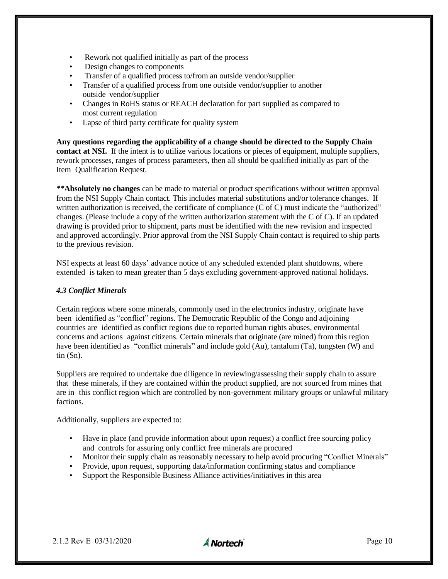- Rework not qualified initially as part of the process
- Design changes to components
- Transfer of a qualified process to/from an outside vendor/supplier
- Transfer of a qualified process from one outside vendor/supplier to another outside vendor/supplier
- Changes in RoHS status or REACH declaration for part supplied as compared to most current regulation
- Lapse of third party certificate for quality system

**Any questions regarding the applicability of a change should be directed to the Supply Chain contact at NSI.** If the intent is to utilize various locations or pieces of equipment, multiple suppliers, rework processes, ranges of process parameters, then all should be qualified initially as part of the Item Qualification Request.

*\*\****Absolutely no changes** can be made to material or product specifications without written approval from the NSI Supply Chain contact. This includes material substitutions and/or tolerance changes. If written authorization is received, the certificate of compliance (C of C) must indicate the "authorized" changes. (Please include a copy of the written authorization statement with the C of C). If an updated drawing is provided prior to shipment, parts must be identified with the new revision and inspected and approved accordingly. Prior approval from the NSI Supply Chain contact is required to ship parts to the previous revision.

NSI expects at least 60 days' advance notice of any scheduled extended plant shutdowns, where extended is taken to mean greater than 5 days excluding government-approved national holidays.

#### *4.3 Conflict Minerals*

Certain regions where some minerals, commonly used in the electronics industry, originate have been identified as "conflict" regions. The Democratic Republic of the Congo and adjoining countries are identified as conflict regions due to reported human rights abuses, environmental concerns and actions against citizens. Certain minerals that originate (are mined) from this region have been identified as "conflict minerals" and include gold (Au), tantalum (Ta), tungsten (W) and tin (Sn).

Suppliers are required to undertake due diligence in reviewing/assessing their supply chain to assure that these minerals, if they are contained within the product supplied, are not sourced from mines that are in this conflict region which are controlled by non-government military groups or unlawful military factions.

Additionally, suppliers are expected to:

- Have in place (and provide information about upon request) a conflict free sourcing policy and controls for assuring only conflict free minerals are procured
- Monitor their supply chain as reasonably necessary to help avoid procuring "Conflict Minerals"
- Provide, upon request, supporting data/information confirming status and compliance
- Support the Responsible Business Alliance activities/initiatives in this area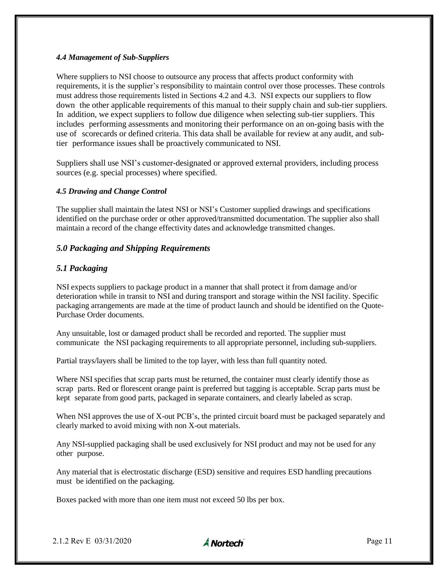# *4.4 Management of Sub-Suppliers*

Where suppliers to NSI choose to outsource any process that affects product conformity with requirements, it is the supplier's responsibility to maintain control over those processes. These controls must address those requirements listed in Sections 4.2 and 4.3. NSI expects our suppliers to flow down the other applicable requirements of this manual to their supply chain and sub-tier suppliers. In addition, we expect suppliers to follow due diligence when selecting sub-tier suppliers. This includes performing assessments and monitoring their performance on an on-going basis with the use of scorecards or defined criteria. This data shall be available for review at any audit, and subtier performance issues shall be proactively communicated to NSI.

Suppliers shall use NSI's customer-designated or approved external providers, including process sources (e.g. special processes) where specified.

# *4.5 Drawing and Change Control*

The supplier shall maintain the latest NSI or NSI's Customer supplied drawings and specifications identified on the purchase order or other approved/transmitted documentation. The supplier also shall maintain a record of the change effectivity dates and acknowledge transmitted changes.

# *5.0 Packaging and Shipping Requirements*

# *5.1 Packaging*

NSI expects suppliers to package product in a manner that shall protect it from damage and/or deterioration while in transit to NSI and during transport and storage within the NSI facility. Specific packaging arrangements are made at the time of product launch and should be identified on the Quote-Purchase Order documents.

Any unsuitable, lost or damaged product shall be recorded and reported. The supplier must communicate the NSI packaging requirements to all appropriate personnel, including sub-suppliers.

Partial trays/layers shall be limited to the top layer, with less than full quantity noted.

Where NSI specifies that scrap parts must be returned, the container must clearly identify those as scrap parts. Red or florescent orange paint is preferred but tagging is acceptable. Scrap parts must be kept separate from good parts, packaged in separate containers, and clearly labeled as scrap.

When NSI approves the use of X-out PCB's, the printed circuit board must be packaged separately and clearly marked to avoid mixing with non X-out materials.

Any NSI-supplied packaging shall be used exclusively for NSI product and may not be used for any other purpose.

Any material that is electrostatic discharge (ESD) sensitive and requires ESD handling precautions must be identified on the packaging.

Boxes packed with more than one item must not exceed 50 lbs per box.

2.1.2 Rev E 03/31/2020 **A Nortech** Page 11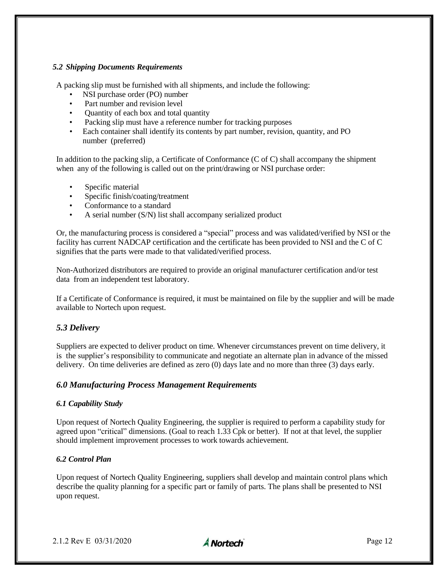# *5.2 Shipping Documents Requirements*

A packing slip must be furnished with all shipments, and include the following:

- NSI purchase order (PO) number
- Part number and revision level
- Quantity of each box and total quantity
- Packing slip must have a reference number for tracking purposes
- Each container shall identify its contents by part number, revision, quantity, and PO number (preferred)

In addition to the packing slip, a Certificate of Conformance (C of C) shall accompany the shipment when any of the following is called out on the print/drawing or NSI purchase order:

- Specific material
- Specific finish/coating/treatment
- Conformance to a standard
- A serial number (S/N) list shall accompany serialized product

Or, the manufacturing process is considered a "special" process and was validated/verified by NSI or the facility has current NADCAP certification and the certificate has been provided to NSI and the C of C signifies that the parts were made to that validated/verified process.

Non-Authorized distributors are required to provide an original manufacturer certification and/or test data from an independent test laboratory.

If a Certificate of Conformance is required, it must be maintained on file by the supplier and will be made available to Nortech upon request.

# *5.3 Delivery*

Suppliers are expected to deliver product on time. Whenever circumstances prevent on time delivery, it is the supplier's responsibility to communicate and negotiate an alternate plan in advance of the missed delivery. On time deliveries are defined as zero (0) days late and no more than three (3) days early.

# *6.0 Manufacturing Process Management Requirements*

# *6.1 Capability Study*

Upon request of Nortech Quality Engineering, the supplier is required to perform a capability study for agreed upon "critical" dimensions. (Goal to reach 1.33 Cpk or better). If not at that level, the supplier should implement improvement processes to work towards achievement.

# *6.2 Control Plan*

Upon request of Nortech Quality Engineering, suppliers shall develop and maintain control plans which describe the quality planning for a specific part or family of parts. The plans shall be presented to NSI upon request.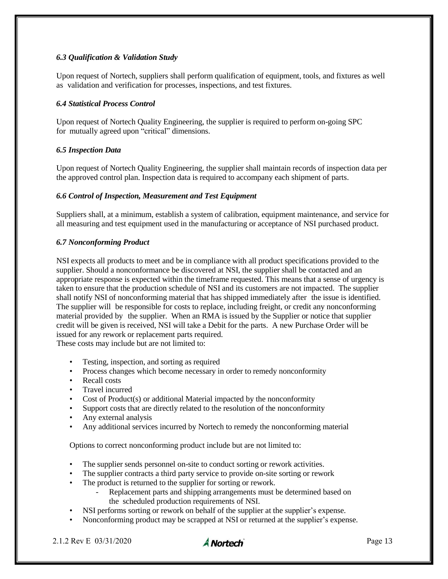# *6.3 Qualification & Validation Study*

Upon request of Nortech, suppliers shall perform qualification of equipment, tools, and fixtures as well as validation and verification for processes, inspections, and test fixtures.

#### *6.4 Statistical Process Control*

Upon request of Nortech Quality Engineering, the supplier is required to perform on-going SPC for mutually agreed upon "critical" dimensions.

# *6.5 Inspection Data*

Upon request of Nortech Quality Engineering, the supplier shall maintain records of inspection data per the approved control plan. Inspection data is required to accompany each shipment of parts.

# *6.6 Control of Inspection, Measurement and Test Equipment*

Suppliers shall, at a minimum, establish a system of calibration, equipment maintenance, and service for all measuring and test equipment used in the manufacturing or acceptance of NSI purchased product.

# *6.7 Nonconforming Product*

NSI expects all products to meet and be in compliance with all product specifications provided to the supplier. Should a nonconformance be discovered at NSI, the supplier shall be contacted and an appropriate response is expected within the timeframe requested. This means that a sense of urgency is taken to ensure that the production schedule of NSI and its customers are not impacted. The supplier shall notify NSI of nonconforming material that has shipped immediately after the issue is identified. The supplier will be responsible for costs to replace, including freight, or credit any nonconforming material provided by the supplier. When an RMA is issued by the Supplier or notice that supplier credit will be given is received, NSI will take a Debit for the parts. A new Purchase Order will be issued for any rework or replacement parts required.

These costs may include but are not limited to:

- Testing, inspection, and sorting as required
- Process changes which become necessary in order to remedy nonconformity
- Recall costs
- Travel incurred
- Cost of Product(s) or additional Material impacted by the nonconformity
- Support costs that are directly related to the resolution of the nonconformity
- Any external analysis
- Any additional services incurred by Nortech to remedy the nonconforming material

Options to correct nonconforming product include but are not limited to:

- The supplier sends personnel on-site to conduct sorting or rework activities.
- The supplier contracts a third party service to provide on-site sorting or rework
- The product is returned to the supplier for sorting or rework.
	- Replacement parts and shipping arrangements must be determined based on the scheduled production requirements of NSI.
- NSI performs sorting or rework on behalf of the supplier at the supplier's expense.
- Nonconforming product may be scrapped at NSI or returned at the supplier's expense.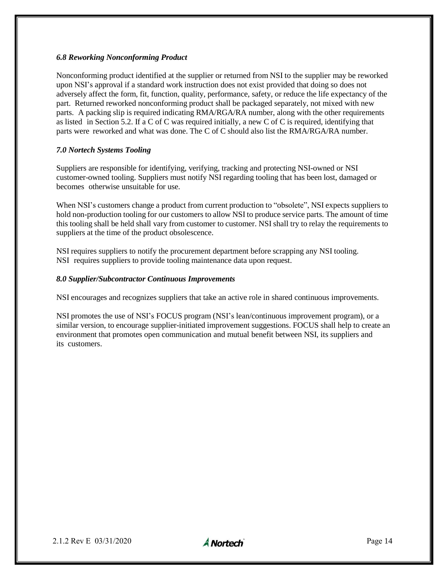# *6.8 Reworking Nonconforming Product*

Nonconforming product identified at the supplier or returned from NSI to the supplier may be reworked upon NSI's approval if a standard work instruction does not exist provided that doing so does not adversely affect the form, fit, function, quality, performance, safety, or reduce the life expectancy of the part. Returned reworked nonconforming product shall be packaged separately, not mixed with new parts. A packing slip is required indicating RMA/RGA/RA number, along with the other requirements as listed in Section 5.2. If a C of C was required initially, a new C of C is required, identifying that parts were reworked and what was done. The C of C should also list the RMA/RGA/RA number.

# *7.0 Nortech Systems Tooling*

Suppliers are responsible for identifying, verifying, tracking and protecting NSI-owned or NSI customer-owned tooling. Suppliers must notify NSI regarding tooling that has been lost, damaged or becomes otherwise unsuitable for use.

When NSI's customers change a product from current production to "obsolete", NSI expects suppliers to hold non-production tooling for our customers to allow NSI to produce service parts. The amount of time this tooling shall be held shall vary from customer to customer. NSI shall try to relay the requirements to suppliers at the time of the product obsolescence.

NSI requires suppliers to notify the procurement department before scrapping any NSI tooling. NSI requires suppliers to provide tooling maintenance data upon request.

# *8.0 Supplier/Subcontractor Continuous Improvements*

NSI encourages and recognizes suppliers that take an active role in shared continuous improvements.

NSI promotes the use of NSI's FOCUS program (NSI's lean/continuous improvement program), or a similar version, to encourage supplier-initiated improvement suggestions. FOCUS shall help to create an environment that promotes open communication and mutual benefit between NSI, its suppliers and its customers.